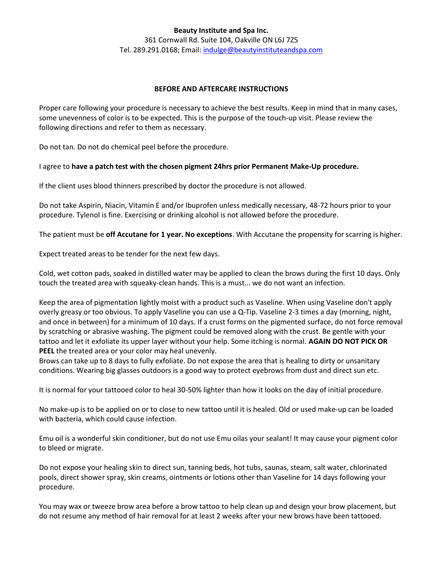### Beauty Institute and Spa Inc.

361 Cornwall Rd. Suite 104, Oakville ON L6J 7Z5 Tel. 289.291.0168; Email: indulge@beautyinstituteandspa.com

#### BEFORE AND AFTERCARE INSTRUCTIONS

Proper care following your procedure is necessary to achieve the best results. Keep in mind that in many cases, some unevenness of color is to be expected. This is the purpose of the touch-up visit. Please review the following directions and refer to them as necessary.

Do not tan. Do not do chemical peel before the procedure.

### I agree to have a patch test with the chosen pigment 24hrs prior Permanent Make-Up procedure.

If the client uses blood thinners prescribed by doctor the procedure is not allowed.

Do not take Aspirin, Niacin, Vitamin E and/or Ibuprofen unless medically necessary, 48-72 hours prior to your procedure. Tylenol is fine. Exercising or drinking alcohol is not allowed before the procedure.

The patient must be off Accutane for 1 year. No exceptions. With Accutane the propensity for scarring is higher.

Expect treated areas to be tender for the next few days.

Cold, wet cotton pads, soaked in distilled water may be applied to clean the brows during the first 10 days. Only touch the treated area with squeaky-clean hands. This is a must... we do not want an infection.

Keep the area of pigmentation lightly moist with a product such as Vaseline. When using Vaseline don't apply overly greasy or too obvious. To apply Vaseline you can use a Q-Tip. Vaseline 2-3 times a day (morning, night, and once in between) for a minimum of 10 days. If a crust forms on the pigmented surface, do not force removal by scratching or abrasive washing. The pigment could be removed along with the crust. Be gentle with your tattoo and let it exfoliate its upper layer without your help. Some itching is normal. AGAIN DO NOT PICK OR PEEL the treated area or your color may heal unevenly.

Brows can take up to 8 days to fully exfoliate. Do not expose the area that is healing to dirty or unsanitary conditions. Wearing big glasses outdoors is a good way to protect eyebrows from dust and direct sun etc.

It is normal for your tattooed color to heal 30-50% lighter than how it looks on the day of initial procedure.

No make-up is to be applied on or to close to new tattoo until it is healed. Old or used make-up can be loaded with bacteria, which could cause infection.

Emu oil is a wonderful skin conditioner, but do not use Emu oilas your sealant! It may cause your pigment color to bleed or migrate.

Do not expose your healing skin to direct sun, tanning beds, hot tubs, saunas, steam, salt water, chlorinated pools, direct shower spray, skin creams, ointments or lotions other than Vaseline for 14 days following your procedure.

You may wax or tweeze brow area before a brow tattoo to help clean up and design your brow placement, but do not resume any method of hair removal for at least 2 weeks after your new brows have been tattooed.